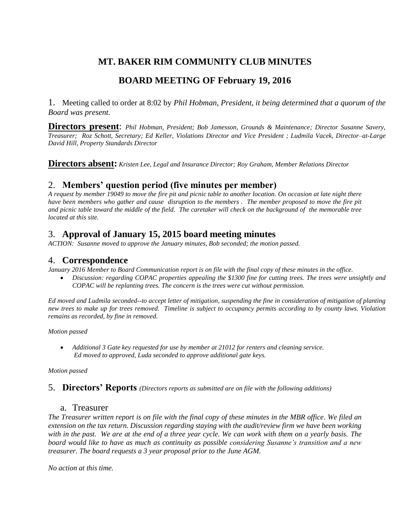# **MT. BAKER RIM COMMUNITY CLUB MINUTES**

# **BOARD MEETING OF February 19, 2016**

1. Meeting called to order at 8:02 by *Phil Hobman, President, it being determined that a quorum of the Board was present.* 

**Directors present**: *Phil Hobman, President; Bob Jamesson, Grounds & Maintenance; Director Susanne Savery, Treasurer; Roz Schott, Secretary; Ed Keller, Violations Director and Vice President ; Ludmila Vacek, Director–at-Large David Hill, Property Standards Director*

**Directors absent:** *Kristen Lee, Legal and Insurance Director; Roy Graham, Member Relations Director*

## 2. **Members' question period (five minutes per member)**

*A request by member 19049 to move the fire pit and picnic table to another location. On occasion at late night there have been members who gather and cause disruption to the members. The member proposed to move the fire pit and picnic table toward the middle of the field. The caretaker will check on the background of the memorable tree located at this site.* 

### 3. **Approval of January 15, 2015 board meeting minutes**

*ACTION: Susanne moved to approve the January minutes, Bob seconded; the motion passed.*

### 4. **Correspondence**

*January 2016 Member to Board Communication report is on file with the final copy of these minutes in the office.* 

 *Discussion: regarding COPAC properties appealing the \$1300 fine for cutting trees. The trees were unsightly and COPAC will be replanting trees. The concern is the trees were cut without permission.* 

*Ed moved and Ludmila seconded--to accept letter of mitigation, suspending the fine in consideration of mitigation of planting new trees to make up for trees removed. Timeline is subject to occupancy permits according to by county laws. Violation remains as recorded, by fine in removed.*

*Motion passed*

 *Additional 3 Gate key requested for use by member at 21012 for renters and cleaning service. Ed moved to approved, Luda seconded to approve additional gate keys.*

*Motion passed*

5. **Directors' Reports** *(Directors reports as submitted are on file with the following additions)*

#### a. Treasurer

*The Treasurer written report is on file with the final copy of these minutes in the MBR office. We filed an extension on the tax return. Discussion regarding staying with the audit/review firm we have been working with in the past. We are at the end of a three year cycle. We can work with them on a yearly basis. The board would like to have as much as continuity as possible considering Susanne's transition and a new treasurer. The board requests a 3 year proposal prior to the June AGM.*

*No action at this time.*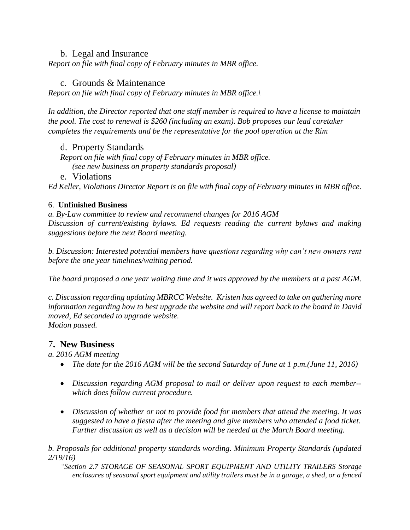#### b. Legal and Insurance

*Report on file with final copy of February minutes in MBR office.*

#### c. Grounds & Maintenance

*Report on file with final copy of February minutes in MBR office.\*

*In addition, the Director reported that one staff member is required to have a license to maintain the pool. The cost to renewal is \$260 (including an exam). Bob proposes our lead caretaker completes the requirements and be the representative for the pool operation at the Rim*

### d. Property Standards

*Report on file with final copy of February minutes in MBR office. (see new business on property standards proposal)*

#### e. Violations

*Ed Keller, Violations Director Report is on file with final copy of February minutes in MBR office.*

#### 6. **Unfinished Business**

*a. By-Law committee to review and recommend changes for 2016 AGM Discussion of current/existing bylaws. Ed requests reading the current bylaws and making suggestions before the next Board meeting.*

*b. Discussion: Interested potential members have questions regarding why can't new owners rent before the one year timelines/waiting period.* 

*The board proposed a one year waiting time and it was approved by the members at a past AGM.*

*c. Discussion regarding updating MBRCC Website. Kristen has agreed to take on gathering more information regarding how to best upgrade the website and will report back to the board in David moved, Ed seconded to upgrade website. Motion passed.* 

7**. New Business**

*a. 2016 AGM meeting*

- *The date for the 2016 AGM will be the second Saturday of June at 1 p.m.(June 11, 2016)*
- *Discussion regarding AGM proposal to mail or deliver upon request to each member- which does follow current procedure.*
- *Discussion of whether or not to provide food for members that attend the meeting. It was suggested to have a fiesta after the meeting and give members who attended a food ticket. Further discussion as well as a decision will be needed at the March Board meeting.*

*b. Proposals for additional property standards wording. Minimum Property Standards (updated 2/19/16)*

*"Section 2.7 STORAGE OF SEASONAL SPORT EQUIPMENT AND UTILITY TRAILERS Storage enclosures of seasonal sport equipment and utility trailers must be in a garage, a shed, or a fenced*